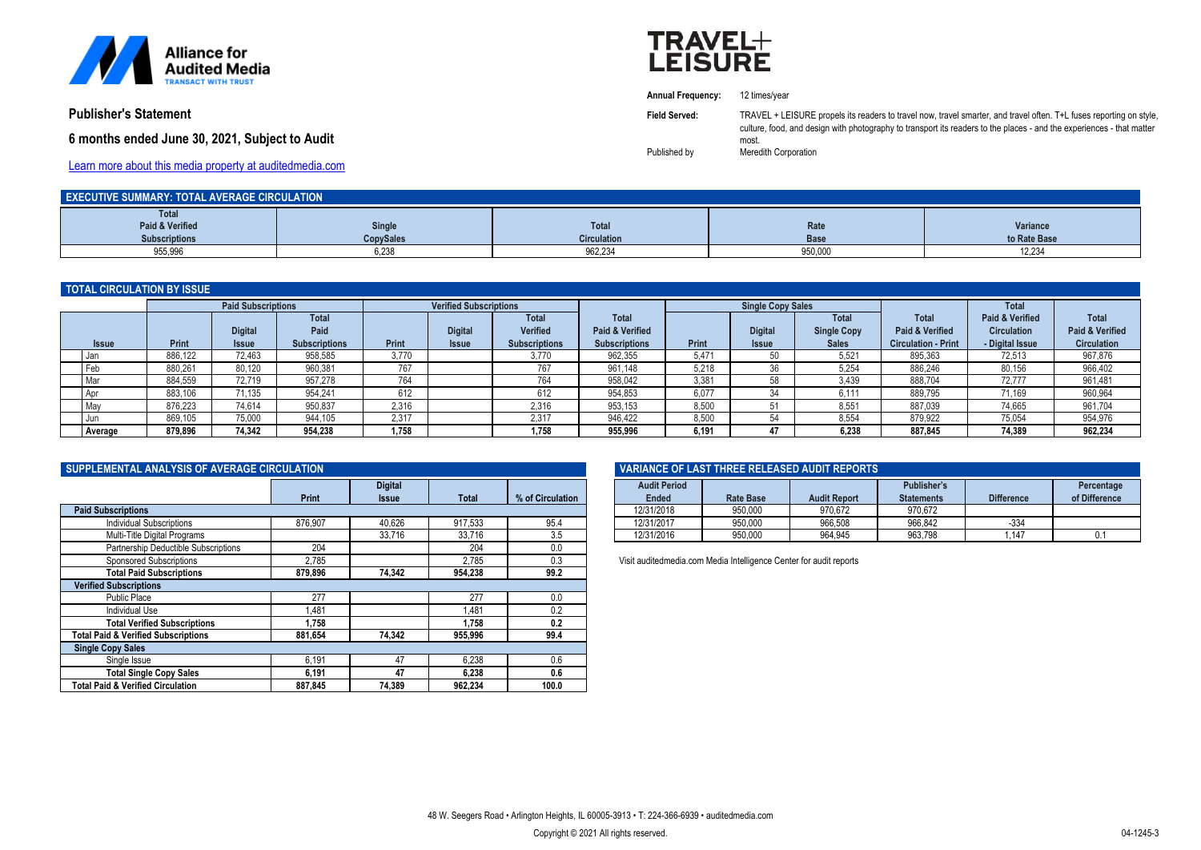

**Publisher's Statement**

# **6 months ended June 30, 2021,** *Subject to Audit*



**Annual Frequency:** 12 times/year

**Field Served:** TRAVEL + LEISURE propels its readers to travel now, travel smarter, and travel often. T+L fuses reporting on style. culture, food, and design with photography to transport its readers to the places - and the experiences - that matter most.

Published by Meredith Corporation

[Learn more about this media property at auditedmedia.com](https://brandview.auditedmedia.com/?memberNumber=bj%2Fj%2ButQf48%3D&linkSource=PDF_PubStatement)

| <b>EXECUTIVE SUMMARY: TOTAL AVERAGE CIRCULATION</b> |                  |                    |         |              |  |  |
|-----------------------------------------------------|------------------|--------------------|---------|--------------|--|--|
| <b>Total</b>                                        |                  |                    |         |              |  |  |
| Paid & Verified                                     | Single           | <b>Total</b>       | Rate    | Variance     |  |  |
| <b>Subscriptions</b>                                | <b>CopySales</b> | <b>Circulation</b> | Base    | to Rate Base |  |  |
| 955,996                                             | 6,238            | 962,234            | 950,000 | 12,234       |  |  |

## **TOTAL CIRCULATION BY ISSUE**

| TO THE VINOUER HON DT TOOUE |         |                |                               |       |                |                          |                                 |       |                |                             |                                            |                                       |                                 |
|-----------------------------|---------|----------------|-------------------------------|-------|----------------|--------------------------|---------------------------------|-------|----------------|-----------------------------|--------------------------------------------|---------------------------------------|---------------------------------|
| <b>Paid Subscriptions</b>   |         |                | <b>Verified Subscriptions</b> |       |                | <b>Single Copy Sales</b> |                                 |       | <b>Total</b>   |                             |                                            |                                       |                                 |
|                             |         | <b>Digital</b> | <b>Total</b><br>Paid          |       | <b>Digital</b> | Total<br><b>Verified</b> | <b>Total</b><br>Paid & Verified |       | <b>Digital</b> | Total<br><b>Single Copy</b> | <b>Total</b><br><b>Paid &amp; Verified</b> | Paid & Verified<br><b>Circulation</b> | <b>Total</b><br>Paid & Verified |
| <b>Issue</b>                | Print   | <b>Issue</b>   | <b>Subscriptions</b>          | Print | <b>Issue</b>   | <b>Subscriptions</b>     | <b>Subscriptions</b>            | Print | <b>Issue</b>   | <b>Sales</b>                | <b>Circulation - Print</b>                 | - Digital Issue                       | <b>Circulation</b>              |
| I Jan                       | 886,122 | 72,463         | 958,585                       | 3.770 |                | 3.770                    | 962,355                         | 5,471 | 50             | 5,521                       | 895,363                                    | 72,513                                | 967,876                         |
| Feb                         | 880,261 | 80,120         | 960,381                       | 767   |                | 767                      | 961.148                         | 5,218 | 36             | 5,254                       | 886,246                                    | 80,156                                | 966,402                         |
| Mar                         | 884.559 | 72.719         | 957.278                       | 764   |                | 764                      | 958.042                         | 3.381 | 58             | 3.439                       | 888.704                                    | 72.777                                | 961,481                         |
| . Apr                       | 883,106 | 71.135         | 954.241                       | 612   |                | 612                      | 954.853                         | 6.077 | 34             | 6.111                       | 889.795                                    | 71.169                                | 960,964                         |
| Mav                         | 876,223 | 74.614         | 950,837                       | 2,316 |                | 2,316                    | 953,153                         | 8,500 |                | 8,551                       | 887,039                                    | 74,665                                | 961,704                         |
| I Jun                       | 869.105 | 75.000         | 944,105                       | 2.317 |                | 2.317                    | 946.422                         | 8.500 |                | 8.554                       | 879.922                                    | 75.054                                | 954,976                         |
| Average                     | 879,896 | 74.342         | 954.238                       | 1.758 |                | 1.758                    | 955,996                         | 6.191 |                | 6.238                       | 887,845                                    | 74,389                                | 962,234                         |

| SUPPLEMENTAL ANALYSIS OF AVERAGE CIRCULATION   |              |                |              |                  |  |  |
|------------------------------------------------|--------------|----------------|--------------|------------------|--|--|
|                                                |              | <b>Digital</b> |              |                  |  |  |
|                                                | <b>Print</b> | <b>Issue</b>   | <b>Total</b> | % of Circulation |  |  |
| <b>Paid Subscriptions</b>                      |              |                |              |                  |  |  |
| <b>Individual Subscriptions</b>                | 876,907      | 40,626         | 917,533      | 95.4             |  |  |
| Multi-Title Digital Programs                   |              | 33.716         | 33.716       | 3.5              |  |  |
| Partnership Deductible Subscriptions           | 204          |                | 204          | 0.0              |  |  |
| <b>Sponsored Subscriptions</b>                 | 2.785        |                | 2.785        | 0.3              |  |  |
| <b>Total Paid Subscriptions</b>                | 879.896      | 74.342         | 954,238      | 99.2             |  |  |
| <b>Verified Subscriptions</b>                  |              |                |              |                  |  |  |
| <b>Public Place</b>                            | 277          |                | 277          | 0.0              |  |  |
| <b>Individual Use</b>                          | 1.481        |                | 1.481        | 0.2              |  |  |
| <b>Total Verified Subscriptions</b>            | 1.758        |                | 1.758        | 0.2              |  |  |
| <b>Total Paid &amp; Verified Subscriptions</b> | 881,654      | 74.342         | 955,996      | 99.4             |  |  |
| <b>Single Copy Sales</b>                       |              |                |              |                  |  |  |
| Single Issue                                   | 6,191        | 47             | 6.238        | 0.6              |  |  |
| <b>Total Single Copy Sales</b>                 | 6,191        | 47             | 6,238        | 0.6              |  |  |
| <b>Total Paid &amp; Verified Circulation</b>   | 887.845      | 74.389         | 962.234      | 100.0            |  |  |

| VARIANCE OF LAST THREE RELEASED AUDIT REPORTS |           |                     |                                  |                   |                             |  |  |
|-----------------------------------------------|-----------|---------------------|----------------------------------|-------------------|-----------------------------|--|--|
| <b>Audit Period</b><br>Ended                  | Rate Base | <b>Audit Report</b> | Publisher's<br><b>Statements</b> | <b>Difference</b> | Percentage<br>of Difference |  |  |
| 12/31/2018                                    | 950.000   | 970.672             | 970.672                          |                   |                             |  |  |
| 12/31/2017                                    | 950.000   | 966.508             | 966.842                          | $-334$            |                             |  |  |
| 12/31/2016                                    | 950.000   | 964.945             | 963.798                          | .147              | 0.1                         |  |  |

Visit auditedmedia.com Media Intelligence Center for audit reports